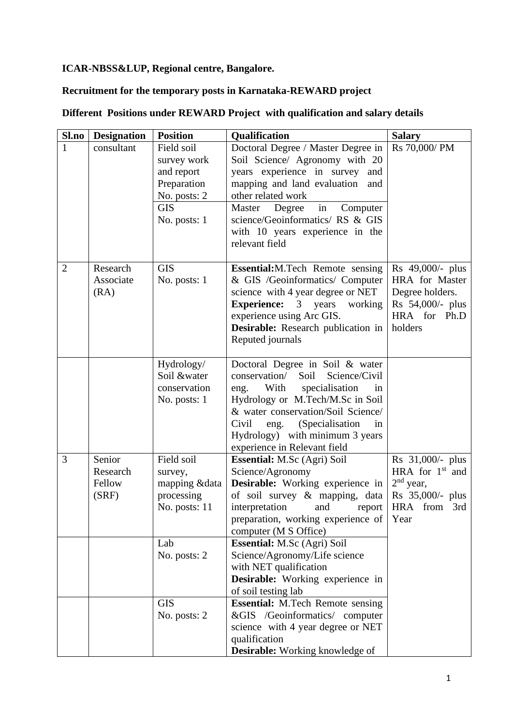# **ICAR-NBSS&LUP, Regional centre, Bangalore.**

# **Recruitment for the temporary posts in Karnataka-REWARD project**

| Sl.no          | <b>Designation</b>                    | <b>Position</b>                                                                                      | Qualification                                                                                                                                                                                                                                                                                            | <b>Salary</b>                                                                                        |
|----------------|---------------------------------------|------------------------------------------------------------------------------------------------------|----------------------------------------------------------------------------------------------------------------------------------------------------------------------------------------------------------------------------------------------------------------------------------------------------------|------------------------------------------------------------------------------------------------------|
| 1              | consultant                            | Field soil<br>survey work<br>and report<br>Preparation<br>No. posts: 2<br><b>GIS</b><br>No. posts: 1 | Doctoral Degree / Master Degree in<br>Soil Science/ Agronomy with 20<br>years experience in survey<br>and<br>mapping and land evaluation<br>and<br>other related work<br>in<br>Master<br>Degree<br>Computer<br>science/Geoinformatics/ RS & GIS<br>with 10 years experience in the<br>relevant field     | Rs 70,000/PM                                                                                         |
| $\overline{2}$ | Research<br>Associate<br>(RA)         | <b>GIS</b><br>No. posts: 1                                                                           | <b>Essential:</b> M.Tech Remote sensing<br>& GIS /Geoinformatics/ Computer<br>science with 4 year degree or NET<br><b>Experience:</b> 3 years<br>working<br>experience using Arc GIS.<br>Desirable: Research publication in<br>Reputed journals                                                          | Rs 49,000/- plus<br>HRA for Master<br>Degree holders.<br>Rs 54,000/- plus<br>HRA for Ph.D<br>holders |
|                |                                       | Hydrology/<br>Soil &water<br>conservation<br>No. posts: 1                                            | Doctoral Degree in Soil & water<br>conservation/<br>Soil<br>Science/Civil<br>With<br>specialisation<br>eng.<br>in<br>Hydrology or M.Tech/M.Sc in Soil<br>& water conservation/Soil Science/<br>(Specialisation<br>Civil<br>in<br>eng.<br>Hydrology) with minimum 3 years<br>experience in Relevant field |                                                                                                      |
| 3              | Senior<br>Research<br>Fellow<br>(SRF) | Field soil<br>survey,<br>mapping &data<br>processing<br>No. posts: 11                                | Essential: M.Sc (Agri) Soil<br>Science/Agronomy<br>Desirable: Working experience in<br>of soil survey & mapping, data<br>interpretation<br>and<br>report<br>preparation, working experience of<br>computer (M S Office)                                                                                  | Rs 31,000/- plus<br>HRA for $1st$ and<br>$2nd$ year,<br>Rs 35,000/- plus<br>HRA from 3rd<br>Year     |
|                |                                       | Lab<br>No. posts: 2                                                                                  | <b>Essential:</b> M.Sc (Agri) Soil<br>Science/Agronomy/Life science<br>with NET qualification<br><b>Desirable:</b> Working experience in<br>of soil testing lab                                                                                                                                          |                                                                                                      |
|                |                                       | <b>GIS</b><br>No. posts: 2                                                                           | Essential: M.Tech Remote sensing<br>&GIS /Geoinformatics/ computer<br>science with 4 year degree or NET<br>qualification<br><b>Desirable:</b> Working knowledge of                                                                                                                                       |                                                                                                      |

# **Different Positions under REWARD Project with qualification and salary details**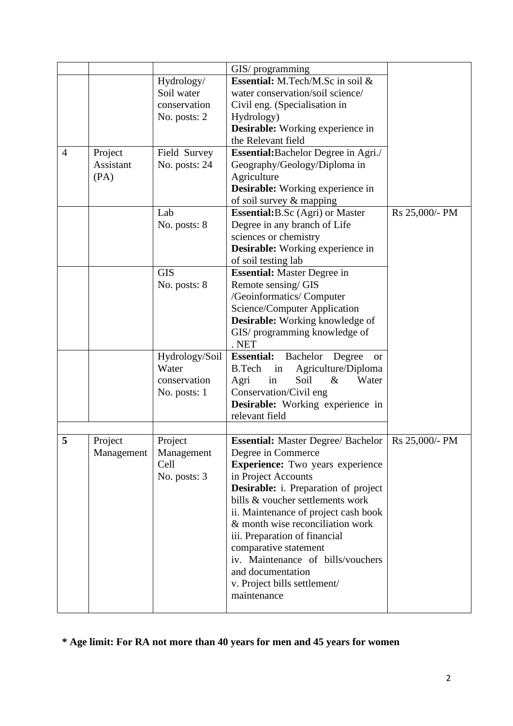|                |            |                          | GIS/ programming<br>Essential: M.Tech/M.Sc in soil &       |                |
|----------------|------------|--------------------------|------------------------------------------------------------|----------------|
|                |            | Hydrology/<br>Soil water |                                                            |                |
|                |            |                          | water conservation/soil science/                           |                |
|                |            | conservation             | Civil eng. (Specialisation in                              |                |
|                |            | No. posts: 2             | Hydrology)                                                 |                |
|                |            |                          | Desirable: Working experience in                           |                |
|                |            |                          | the Relevant field                                         |                |
| $\overline{4}$ | Project    | Field Survey             | Essential: Bachelor Degree in Agri./                       |                |
|                | Assistant  | No. posts: 24            | Geography/Geology/Diploma in                               |                |
|                | (PA)       |                          | Agriculture                                                |                |
|                |            |                          | Desirable: Working experience in                           |                |
|                |            |                          | of soil survey & mapping                                   |                |
|                |            | Lab                      | <b>Essential:</b> B.Sc (Agri) or Master                    | Rs 25,000/- PM |
|                |            | No. posts: 8             | Degree in any branch of Life                               |                |
|                |            |                          | sciences or chemistry                                      |                |
|                |            |                          | <b>Desirable:</b> Working experience in                    |                |
|                |            |                          | of soil testing lab                                        |                |
|                |            | <b>GIS</b>               | <b>Essential:</b> Master Degree in                         |                |
|                |            | No. posts: 8             | Remote sensing/GIS                                         |                |
|                |            |                          | /Geoinformatics/ Computer                                  |                |
|                |            |                          | Science/Computer Application                               |                |
|                |            |                          | <b>Desirable:</b> Working knowledge of                     |                |
|                |            |                          | GIS/ programming knowledge of                              |                |
|                |            |                          | . NET                                                      |                |
|                |            | Hydrology/Soil           | <b>Essential:</b><br>Bachelor<br>Degree<br><b>or</b>       |                |
|                |            | Water                    | Agriculture/Diploma<br>B.Tech<br>in                        |                |
|                |            | conservation             | Soil<br>$\&$<br>Water<br>Agri<br>in                        |                |
|                |            | No. posts: 1             | Conservation/Civil eng                                     |                |
|                |            |                          | Desirable: Working experience in                           |                |
|                |            |                          | relevant field                                             |                |
|                |            |                          |                                                            |                |
| 5              | Project    | Project                  | <b>Essential:</b> Master Degree/ Bachelor                  | Rs 25,000/- PM |
|                | Management | Management               | Degree in Commerce                                         |                |
|                |            | Cell                     | <b>Experience:</b> Two years experience                    |                |
|                |            | No. posts: 3             | in Project Accounts                                        |                |
|                |            |                          | <b>Desirable:</b> i. Preparation of project                |                |
|                |            |                          | bills & voucher settlements work                           |                |
|                |            |                          | ii. Maintenance of project cash book                       |                |
|                |            |                          | & month wise reconciliation work                           |                |
|                |            |                          | iii. Preparation of financial                              |                |
|                |            |                          |                                                            |                |
|                |            |                          | comparative statement<br>iv. Maintenance of bills/vouchers |                |
|                |            |                          |                                                            |                |
|                |            |                          | and documentation                                          |                |
|                |            |                          | v. Project bills settlement/                               |                |
|                |            |                          | maintenance                                                |                |
|                |            |                          |                                                            |                |

**\* Age limit: For RA not more than 40 years for men and 45 years for women**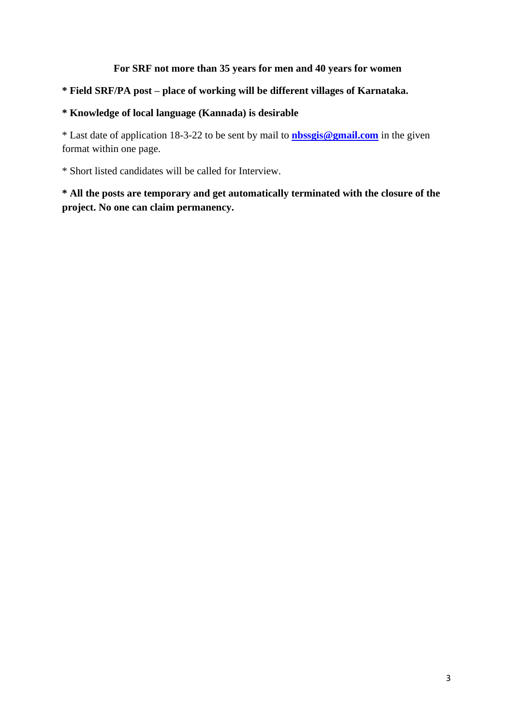# **For SRF not more than 35 years for men and 40 years for women**

# **\* Field SRF/PA post – place of working will be different villages of Karnataka.**

#### **\* Knowledge of local language (Kannada) is desirable**

\* Last date of application 18-3-22 to be sent by mail to **[nbssgis@gmail.com](mailto:nbssgis@gmail.com)** in the given format within one page.

\* Short listed candidates will be called for Interview.

**\* All the posts are temporary and get automatically terminated with the closure of the project. No one can claim permanency.**